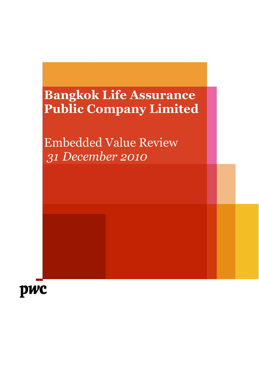# Bangkok Life Assurance Public Company Limited

Embedded Value Review 31 December 2010

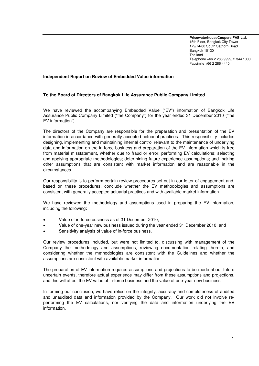**PricewaterhouseCoopers FAS Ltd.** 15th Floor, Bangkok City Tower 179/74-80 South Sathorn Road Bangkok 10120 Thailand Telephone +66 2 286 9999, 2 344 1000 Facsimile +66 2 286 4440

#### **Independent Report on Review of Embedded Value information**

#### **To the Board of Directors of Bangkok Life Assurance Public Company Limited**

We have reviewed the accompanying Embedded Value ("EV") information of Bangkok Life Assurance Public Company Limited ("the Company") for the year ended 31 December 2010 ("the EV information").

The directors of the Company are responsible for the preparation and presentation of the EV information in accordance with generally accepted actuarial practices. This responsibility includes designing, implementing and maintaining internal control relevant to the maintenance of underlying data and information on the in-force business and preparation of the EV information which is free from material misstatement, whether due to fraud or error; performing EV calculations; selecting and applying appropriate methodologies; determining future experience assumptions; and making other assumptions that are consistent with market information and are reasonable in the circumstances.

Our responsibility is to perform certain review procedures set out in our letter of engagement and, based on these procedures, conclude whether the EV methodologies and assumptions are consistent with generally accepted actuarial practices and with available market information.

We have reviewed the methodology and assumptions used in preparing the EV information, including the following:

- Value of in-force business as of 31 December 2010;
- Value of one-year new business issued during the year ended 31 December 2010; and
- Sensitivity analysis of value of in-force business.

Our review procedures included, but were not limited to, discussing with management of the Company the methodology and assumptions, reviewing documentation relating thereto, and considering whether the methodologies are consistent with the Guidelines and whether the assumptions are consistent with available market information.

The preparation of EV information requires assumptions and projections to be made about future uncertain events, therefore actual experience may differ from these assumptions and projections, and this will affect the EV value of in-force business and the value of one-year new business.

In forming our conclusion, we have relied on the integrity, accuracy and completeness of audited and unaudited data and information provided by the Company. Our work did not involve reperforming the EV calculations, nor verifying the data and information underlying the EV information.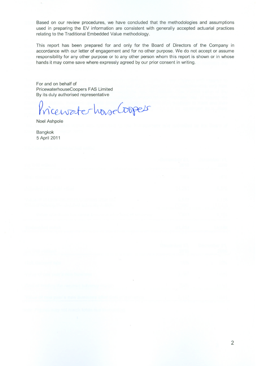Based on our review procedures, we have concluded that the methodologies and assumptions used in preparing the EV information are consistent with generally accepted actuarial practices relating to the Traditional Embedded Value methodology.

This report has been prepared for and only for the Board of Directors of the Company in accordance with our letter of engagement and for no other purpose. We do not accept or assume responsibility for any other purpose or to any other person whom this report is shown or in whose hands it may come save where expressly agreed by our prior consent in writing.

For and on behalf of PricewaterhouseCoopers FAS Limited By its duly authorised representative

icewaterhouse Coopers

Noel Ashpole

Bangkok 5 April 2011

| ng Prik) malitani                                                                                    |                                                                                                 | <b>Concerning Co., Description VI.</b><br>Company of the Company of State<br>一、 一般风 |
|------------------------------------------------------------------------------------------------------|-------------------------------------------------------------------------------------------------|-------------------------------------------------------------------------------------|
| 아보니 막기 되죠? 지사 연기 시간이?                                                                                | $\label{eq:1.1} \mathcal{N}_{\text{max}} = \mathcal{N}_{\text{max}} = \mathcal{N}_{\text{max}}$ |                                                                                     |
| <b>A Turched net specific estant</b>                                                                 |                                                                                                 | <b>BARB</b>                                                                         |
| <b>SARAH BERGERA DI LAN GORSS DEL DE</b><br>Colored interesting the solutions subsequence of simple- | <b>ALSON</b>                                                                                    |                                                                                     |
| We have allowed a member of a state of the company of the financial set of the company               | <b>Contract</b>                                                                                 |                                                                                     |
| e ni se se se post                                                                                   |                                                                                                 |                                                                                     |
| ndi ne Swirk                                                                                         |                                                                                                 | Openheim M. Decimation of<br><b>AND AND ACCOUNT OF STREET</b>                       |
|                                                                                                      |                                                                                                 |                                                                                     |

| the company of the company of the control and the property of the control of the control of the control of the      | the contract of the contract of the |  |
|---------------------------------------------------------------------------------------------------------------------|-------------------------------------|--|
| . A showledge a series of the company state of the metal company of products in the                                 |                                     |  |
| with advertising the code of the special burdent dealers must be in Fig. to a subset of a control of the control of |                                     |  |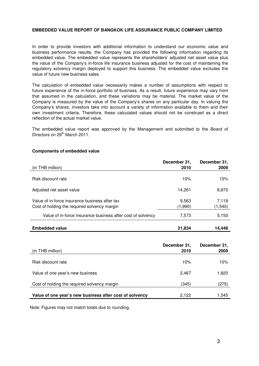### **EMBEDDED VALUE REPORT OF BANGKOK LIFE ASSURANCE PUBLIC COMPANY LIMITED**

In order to provide investors with additional information to understand our economic value and business performance results, the Company has provided the following information regarding its embedded value. The embedded value represents the shareholders' adjusted net asset value plus the value of the Company's in-force life insurance business adjusted for the cost of maintaining the regulatory solvency margin deployed to support this business. The embedded value excludes the value of future new business sales.

The calculation of embedded value necessarily makes a number of assumptions with respect to future experience of the in-force portfolio of business. As a result, future experience may vary from that assumed in the calculation, and these variations may be material. The market value of the Company is measured by the value of the Company's shares on any particular day. In valuing the Company's shares, investors take into account a variety of information available to them and their own investment criteria. Therefore, these calculated values should not be construed as a direct reflection of the actual market value.

The embedded value report was approved by the Management and submitted to the Board of Directors on 29<sup>th</sup> March 2011.

#### **Components of embedded value**

| (in THB million)                                                                               | December 31,<br>2010 | December 31,<br>2009 |
|------------------------------------------------------------------------------------------------|----------------------|----------------------|
| Risk discount rate                                                                             | 10%                  | 10%                  |
| Adjusted net asset value                                                                       | 14,261               | 8,870                |
| Value of in-force insurance business after tax<br>Cost of holding the required solvency margin | 9,563<br>(1,990)     | 7,118<br>(1, 540)    |
| Value of in-force insurance business after cost of solvency                                    | 7,573                | 5,150                |
| Embedded value                                                                                 | 21,834               | 14.448               |

| (in THB million)                                        | December 31,<br>2010 | December 31,<br>2009 |
|---------------------------------------------------------|----------------------|----------------------|
| Risk discount rate                                      | 10%                  | 10%                  |
| Value of one year's new business                        | 2.467                | 1,820                |
| Cost of holding the required solvency margin            | (345)                | (275)                |
| Value of one year's new business after cost of solvency | 2.122                | 1,545                |

Note: Figures may not match totals due to rounding.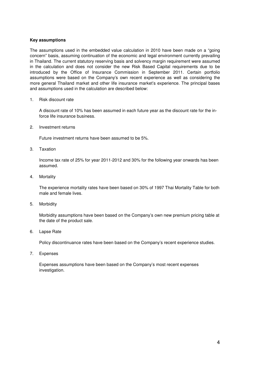#### **Key assumptions**

The assumptions used in the embedded value calculation in 2010 have been made on a "going concern" basis, assuming continuation of the economic and legal environment currently prevailing in Thailand. The current statutory reserving basis and solvency margin requirement were assumed in the calculation and does not consider the new Risk Based Capital requirements due to be introduced by the Office of Insurance Commission in September 2011. Certain portfolio assumptions were based on the Company's own recent experience as well as considering the more general Thailand market and other life insurance market's experience. The principal bases and assumptions used in the calculation are described below:

#### 1. Risk discount rate

A discount rate of 10% has been assumed in each future year as the discount rate for the inforce life insurance business.

2. Investment returns

Future investment returns have been assumed to be 5%.

3. Taxation

Income tax rate of 25% for year 2011-2012 and 30% for the following year onwards has been assumed.

4. Mortality

The experience mortality rates have been based on 30% of 1997 Thai Mortality Table for both male and female lives.

5. Morbidity

Morbidity assumptions have been based on the Company's own new premium pricing table at the date of the product sale.

6. Lapse Rate

Policy discontinuance rates have been based on the Company's recent experience studies.

7. Expenses

Expenses assumptions have been based on the Company's most recent expenses investigation.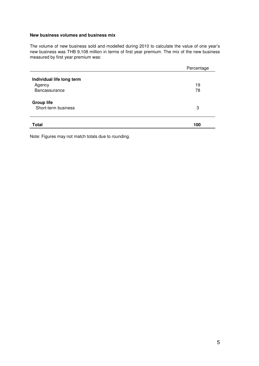#### **New business volumes and business mix**

The volume of new business sold and modelled during 2010 to calculate the value of one year's new business was THB 9,108 million in terms of first year premium. The mix of the new business measured by first year premium was:

|                                                      | Percentage |
|------------------------------------------------------|------------|
| Individual life long term<br>Agency<br>Bancassurance | 19<br>78   |
| <b>Group life</b><br>Short-term business             | 3          |
| <b>Total</b>                                         | 100        |

Note: Figures may not match totals due to rounding.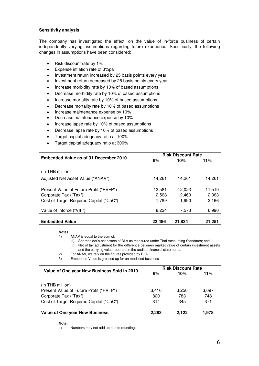### **Sensitivity analysis**

The company has investigated the effect, on the value of in-force business of certain independently varying assumptions regarding future experience. Specifically, the following changes in assumptions have been considered:

- Risk discount rate by 1%
- Expense inflation rate of 3%pa
- Investment return increased by 25 basis points every year
- Investment return decreased by 25 basis points every year
- Increase morbidity rate by 10% of based assumptions
- Decrease morbidity rate by 10% of based assumptions
- Increase mortality rate by 10% of based assumptions
- Decrease mortality rate by 10% of based assumptions
- Increase maintenance expense by 10%
- Decrease maintenance expense by 10%
- Increase lapse rate by 10% of based assumptions
- Decrease lapse rate by 10% of based assumptions
- Target capital adequacy ratio at 100%
- Target capital adequacy ratio at 300%

| Embedded Value as of 31 December 2010   |        | <b>Risk Discount Rate</b> |        |
|-----------------------------------------|--------|---------------------------|--------|
|                                         | 9%     | 10%                       | 11%    |
| (in THB million)                        |        |                           |        |
| Adjusted Net Asset Value ("ANAV")       | 14.261 | 14.261                    | 14.261 |
| Present Value of Future Profit ("PVFP") | 12.581 | 12.023                    | 11.519 |
| Corporate Tax ("Tax")                   | 2,568  | 2.460                     | 2,363  |
| Cost of Target Required Capital ("CoC") | 1,789  | 1.990                     | 2,166  |
| Value of Inforce ("VIF")                | 8.224  | 7.573                     | 6,990  |
| <b>Embedded Value</b>                   | 22.486 | 21.834                    | 21.251 |

#### **Notes:**

1) ANAV is equal to the sum of:

(i) Shareholder's net assets of BLA as measured under Thai Accounting Standards; and (ii) Net of tax adjustment for the difference between market value of certain investment assets and the carrying value reported in the audited financial statements.

2) For ANAV, we rely on the figures provided by BLA<br>3) Embedded Value is grossed up for un-modelled by Embedded Value is grossed up for un-modelled business

| Value of One year New Business Sold in 2010 | <b>Risk Discount Rate</b> |       |       |
|---------------------------------------------|---------------------------|-------|-------|
|                                             | 9%                        | 10%   | 11%   |
|                                             |                           |       |       |
| (in THB million)                            |                           |       |       |
| Present Value of Future Profit ("PVFP")     | 3.416                     | 3.250 | 3,097 |
| Corporate Tax ("Tax")                       | 820                       | 783   | 748   |
| Cost of Target Required Capital ("CoC")     | 314                       | 345   | 371   |
| <b>Value of One year New Business</b>       | 2,283                     | 2.122 | 1,978 |

#### **Note:**

1) Numbers may not add up due to rounding.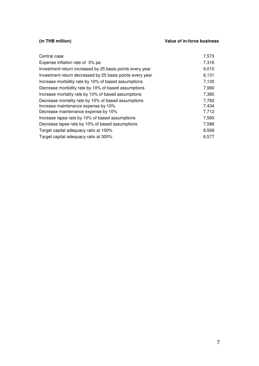# **(in THB million) Value of in-force business**

| Central case                                              | 7,573 |
|-----------------------------------------------------------|-------|
| Expense inflation rate of 3% pa                           | 7,316 |
| Investment return increased by 25 basis points every year | 9,015 |
| Investment return decreased by 25 basis points every year | 6,131 |
| Increase morbidity rate by 10% of based assumptions       | 7,130 |
| Decrease morbidity rate by 10% of based assumptions       | 7,990 |
| Increase mortality rate by 10% of based assumptions       | 7,385 |
| Decrease mortality rate by 10% of based assumptions       | 7,762 |
| Increase maintenance expense by 10%                       | 7,434 |
| Decrease maintenance expense by 10%                       | 7,712 |
| Increase lapse rate by 10% of based assumptions           | 7,560 |
| Decrease lapse rate by 10% of based assumptions           | 7,588 |
| Target capital adequacy ratio at 100%                     | 8,568 |
| Target capital adequacy ratio at 300%                     | 6,577 |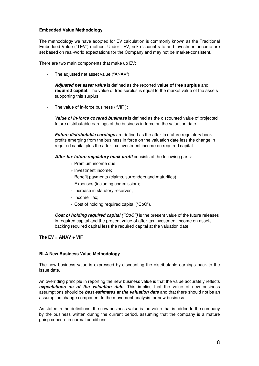## **Embedded Value Methodology**

The methodology we have adopted for EV calculation is commonly known as the Traditional Embedded Value ("TEV") method. Under TEV, risk discount rate and investment income are set based on real-world expectations for the Company and may not be market-consistent.

There are two main components that make up EV:

- The adjusted net asset value ("ANAV");

**Adjusted net asset value** is defined as the reported **value of free surplus** and **required capital**. The value of free surplus is equal to the market value of the assets supporting this surplus.

The value of in-force business ("VIF");

**Value of in-force covered business** is defined as the discounted value of projected future distributable earnings of the business in force on the valuation date.

**Future distributable earnings** are defined as the after-tax future regulatory book profits emerging from the business in force on the valuation date less the change in required capital plus the after-tax investment income on required capital.

**After-tax future regulatory book profit** consists of the following parts:

- + Premium income due;
- + Investment income;
- Benefit payments (claims, surrenders and maturities);
- Expenses (including commission);
- Increase in statutory reserves;
- Income Tax;
- Cost of holding required capital ("CoC").

**Cost of holding required capital ("CoC")** is the present value of the future releases in required capital and the present value of after-tax investment income on assets backing required capital less the required capital at the valuation date.

### **The EV = ANAV + VIF**

### **BLA New Business Value Methodology**

The new business value is expressed by discounting the distributable earnings back to the issue date.

An overriding principle in reporting the new business value is that the value accurately reflects **expectations as of the valuation date**. This implies that the value of new business assumptions should be **best estimates at the valuation date** and that there should not be an assumption change component to the movement analysis for new business.

As stated in the definitions, the new business value is the value that is added to the company by the business written during the current period, assuming that the company is a mature going concern in normal conditions.